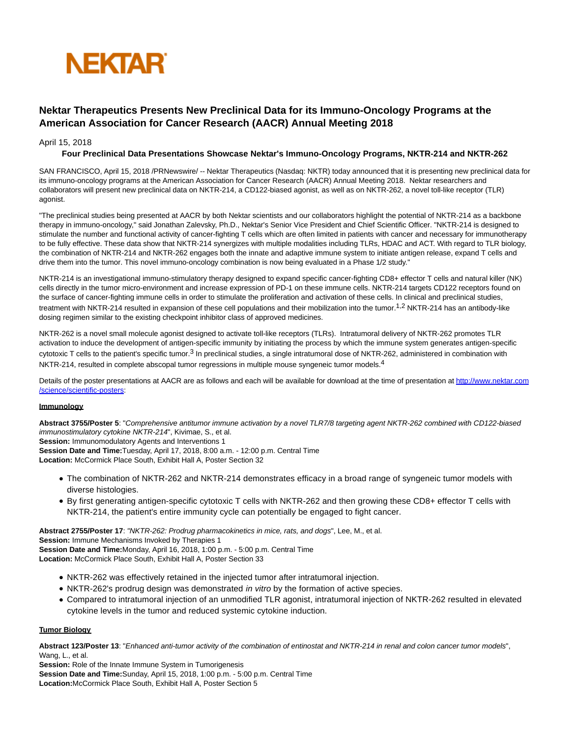

# **Nektar Therapeutics Presents New Preclinical Data for its Immuno-Oncology Programs at the American Association for Cancer Research (AACR) Annual Meeting 2018**

# April 15, 2018

# **Four Preclinical Data Presentations Showcase Nektar's Immuno-Oncology Programs, NKTR-214 and NKTR-262**

SAN FRANCISCO, April 15, 2018 /PRNewswire/ -- Nektar Therapeutics (Nasdaq: NKTR) today announced that it is presenting new preclinical data for its immuno-oncology programs at the American Association for Cancer Research (AACR) Annual Meeting 2018. Nektar researchers and collaborators will present new preclinical data on NKTR-214, a CD122-biased agonist, as well as on NKTR-262, a novel toll-like receptor (TLR) agonist.

"The preclinical studies being presented at AACR by both Nektar scientists and our collaborators highlight the potential of NKTR-214 as a backbone therapy in immuno-oncology," said Jonathan Zalevsky, Ph.D., Nektar's Senior Vice President and Chief Scientific Officer. "NKTR-214 is designed to stimulate the number and functional activity of cancer-fighting T cells which are often limited in patients with cancer and necessary for immunotherapy to be fully effective. These data show that NKTR-214 synergizes with multiple modalities including TLRs, HDAC and ACT. With regard to TLR biology, the combination of NKTR-214 and NKTR-262 engages both the innate and adaptive immune system to initiate antigen release, expand T cells and drive them into the tumor. This novel immuno-oncology combination is now being evaluated in a Phase 1/2 study."

NKTR-214 is an investigational immuno-stimulatory therapy designed to expand specific cancer-fighting CD8+ effector T cells and natural killer (NK) cells directly in the tumor micro-environment and increase expression of PD-1 on these immune cells. NKTR-214 targets CD122 receptors found on the surface of cancer-fighting immune cells in order to stimulate the proliferation and activation of these cells. In clinical and preclinical studies, treatment with NKTR-214 resulted in expansion of these cell populations and their mobilization into the tumor.<sup>1,2</sup> NKTR-214 has an antibody-like dosing regimen similar to the existing checkpoint inhibitor class of approved medicines.

NKTR-262 is a novel small molecule agonist designed to activate toll-like receptors (TLRs). Intratumoral delivery of NKTR-262 promotes TLR activation to induce the development of antigen-specific immunity by initiating the process by which the immune system generates antigen-specific cytotoxic T cells to the patient's specific tumor.<sup>3</sup> In preclinical studies, a single intratumoral dose of NKTR-262, administered in combination with NKTR-214, resulted in complete abscopal tumor regressions in multiple mouse syngeneic tumor models.<sup>4</sup>

Details of the poster presentations at AACR are as follows and each will be available for download at the time of presentation a[t http://www.nektar.com](http://www.nektar.com/science/scientific-posters) /science/scientific-posters:

#### **Immunology**

**Abstract 3755/Poster 5**: "Comprehensive antitumor immune activation by a novel TLR7/8 targeting agent NKTR-262 combined with CD122-biased immunostimulatory cytokine NKTR-214", Kivimae, S., et al.

**Session:** Immunomodulatory Agents and Interventions 1 **Session Date and Time:**Tuesday, April 17, 2018, 8:00 a.m. - 12:00 p.m. Central Time

**Location:** McCormick Place South, Exhibit Hall A, Poster Section 32

- The combination of NKTR-262 and NKTR-214 demonstrates efficacy in a broad range of syngeneic tumor models with diverse histologies.
- By first generating antigen-specific cytotoxic T cells with NKTR-262 and then growing these CD8+ effector T cells with NKTR-214, the patient's entire immunity cycle can potentially be engaged to fight cancer.

**Abstract 2755/Poster 17**: "NKTR-262: Prodrug pharmacokinetics in mice, rats, and dogs", Lee, M., et al. **Session:** Immune Mechanisms Invoked by Therapies 1 **Session Date and Time:**Monday, April 16, 2018, 1:00 p.m. - 5:00 p.m. Central Time **Location:** McCormick Place South, Exhibit Hall A, Poster Section 33

- NKTR-262 was effectively retained in the injected tumor after intratumoral injection.
- NKTR-262's prodrug design was demonstrated in vitro by the formation of active species.
- Compared to intratumoral injection of an unmodified TLR agonist, intratumoral injection of NKTR-262 resulted in elevated cytokine levels in the tumor and reduced systemic cytokine induction.

# **Tumor Biology**

**Abstract 123/Poster 13**: "Enhanced anti-tumor activity of the combination of entinostat and NKTR-214 in renal and colon cancer tumor models", Wang, L., et al.

**Session:** Role of the Innate Immune System in Tumorigenesis **Session Date and Time:**Sunday, April 15, 2018, 1:00 p.m. - 5:00 p.m. Central Time **Location:**McCormick Place South, Exhibit Hall A, Poster Section 5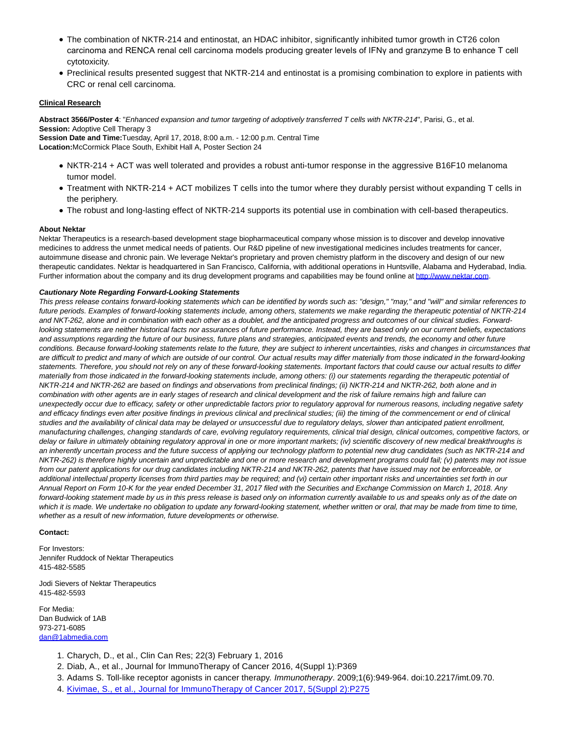- The combination of NKTR-214 and entinostat, an HDAC inhibitor, significantly inhibited tumor growth in CT26 colon carcinoma and RENCA renal cell carcinoma models producing greater levels of IFNγ and granzyme B to enhance T cell cytotoxicity.
- Preclinical results presented suggest that NKTR-214 and entinostat is a promising combination to explore in patients with CRC or renal cell carcinoma.

# **Clinical Research**

**Abstract 3566/Poster 4**: "Enhanced expansion and tumor targeting of adoptively transferred T cells with NKTR-214", Parisi, G., et al. **Session:** Adoptive Cell Therapy 3 **Session Date and Time:**Tuesday, April 17, 2018, 8:00 a.m. - 12:00 p.m. Central Time

**Location:**McCormick Place South, Exhibit Hall A, Poster Section 24

- NKTR-214 + ACT was well tolerated and provides a robust anti-tumor response in the aggressive B16F10 melanoma tumor model.
- Treatment with NKTR-214 + ACT mobilizes T cells into the tumor where they durably persist without expanding T cells in the periphery.
- The robust and long-lasting effect of NKTR-214 supports its potential use in combination with cell-based therapeutics.

# **About Nektar**

Nektar Therapeutics is a research-based development stage biopharmaceutical company whose mission is to discover and develop innovative medicines to address the unmet medical needs of patients. Our R&D pipeline of new investigational medicines includes treatments for cancer, autoimmune disease and chronic pain. We leverage Nektar's proprietary and proven chemistry platform in the discovery and design of our new therapeutic candidates. Nektar is headquartered in San Francisco, California, with additional operations in Huntsville, Alabama and Hyderabad, India. Further information about the company and its drug development programs and capabilities may be found online at [http://www.nektar.com.](http://www.nektar.com/)

### **Cautionary Note Regarding Forward-Looking Statements**

This press release contains forward-looking statements which can be identified by words such as: "design," "may," and "will" and similar references to future periods. Examples of forward-looking statements include, among others, statements we make regarding the therapeutic potential of NKTR-214 and NKT-262, alone and in combination with each other as a doublet, and the anticipated progress and outcomes of our clinical studies. Forwardlooking statements are neither historical facts nor assurances of future performance. Instead, they are based only on our current beliefs, expectations and assumptions regarding the future of our business, future plans and strategies, anticipated events and trends, the economy and other future conditions. Because forward-looking statements relate to the future, they are subject to inherent uncertainties, risks and changes in circumstances that are difficult to predict and many of which are outside of our control. Our actual results may differ materially from those indicated in the forward-looking statements. Therefore, you should not rely on any of these forward-looking statements. Important factors that could cause our actual results to differ materially from those indicated in the forward-looking statements include, among others: (i) our statements regarding the therapeutic potential of NKTR-214 and NKTR-262 are based on findings and observations from preclinical findings; (ii) NKTR-214 and NKTR-262, both alone and in combination with other agents are in early stages of research and clinical development and the risk of failure remains high and failure can unexpectedly occur due to efficacy, safety or other unpredictable factors prior to regulatory approval for numerous reasons, including negative safety and efficacy findings even after positive findings in previous clinical and preclinical studies; (iii) the timing of the commencement or end of clinical studies and the availability of clinical data may be delayed or unsuccessful due to regulatory delays, slower than anticipated patient enrollment, manufacturing challenges, changing standards of care, evolving regulatory requirements, clinical trial design, clinical outcomes, competitive factors, or delay or failure in ultimately obtaining regulatory approval in one or more important markets; (iv) scientific discovery of new medical breakthroughs is an inherently uncertain process and the future success of applying our technology platform to potential new drug candidates (such as NKTR-214 and NKTR-262) is therefore highly uncertain and unpredictable and one or more research and development programs could fail; (v) patents may not issue from our patent applications for our drug candidates including NKTR-214 and NKTR-262, patents that have issued may not be enforceable, or additional intellectual property licenses from third parties may be required; and (vi) certain other important risks and uncertainties set forth in our Annual Report on Form 10-K for the year ended December 31, 2017 filed with the Securities and Exchange Commission on March 1, 2018. Any forward-looking statement made by us in this press release is based only on information currently available to us and speaks only as of the date on which it is made. We undertake no obligation to update any forward-looking statement, whether written or oral, that may be made from time to time, whether as a result of new information, future developments or otherwise.

## **Contact:**

For Investors: Jennifer Ruddock of Nektar Therapeutics 415-482-5585

Jodi Sievers of Nektar Therapeutics 415-482-5593

For Media: Dan Budwick of 1AB 973-271-6085 [dan@1abmedia.com](mailto:dan@1abmedia.com)

- 1. Charych, D., et al., Clin Can Res; 22(3) February 1, 2016
- 2. Diab, A., et al., Journal for ImmunoTherapy of Cancer 2016, 4(Suppl 1):P369
- 3. Adams S. Toll-like receptor agonists in cancer therapy. Immunotherapy. 2009;1(6):949-964. doi:10.2217/imt.09.70.
- 4. [Kivimae, S., et al., Journal for ImmunoTherapy of Cancer 2017, 5\(Suppl 2\):P275](http://www.nektar.com/application/files/8015/1033/6150/NKTR-262-NKTR-214__2017SITC_Poster-P275.pdf.pdf)